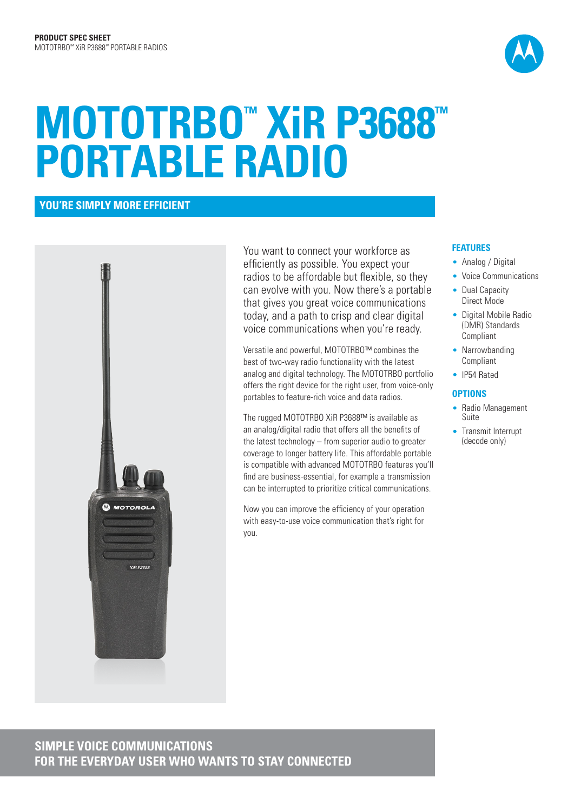

# **MOTOTRBO™ XiR P3688 ™ PORTABLE RADIO**

## **YOU'RE SIMPLY MORE EFFICIENT**



You want to connect your workforce as efficiently as possible. You expect your radios to be affordable but flexible, so they can evolve with you. Now there's a portable that gives you great voice communications today, and a path to crisp and clear digital voice communications when you're ready.

Versatile and powerful, MOTOTRBO™ combines the best of two-way radio functionality with the latest analog and digital technology. The MOTOTRBO portfolio offers the right device for the right user, from voice-only portables to feature-rich voice and data radios.

The rugged MOTOTRBO XiR P3688™ is available as an analog/digital radio that offers all the benefits of the latest technology – from superior audio to greater coverage to longer battery life. This affordable portable is compatible with advanced MOTOTRBO features you'll find are business-essential, for example a transmission can be interrupted to prioritize critical communications.

Now you can improve the efficiency of your operation with easy-to-use voice communication that's right for you.

#### **FEATURES**

- Analog / Digital
- Voice Communications
- Dual Capacity Direct Mode
- Digital Mobile Radio (DMR) Standards Compliant
- Narrowbanding Compliant
- IP54 Rated

#### **OPTIONS**

- Radio Management Suite
- Transmit Interrupt (decode only)

## **SIMPLE VOICE COMMUNICATIONS FOR THE EVERYDAY USER WHO WANTS TO STAY CONNECTED**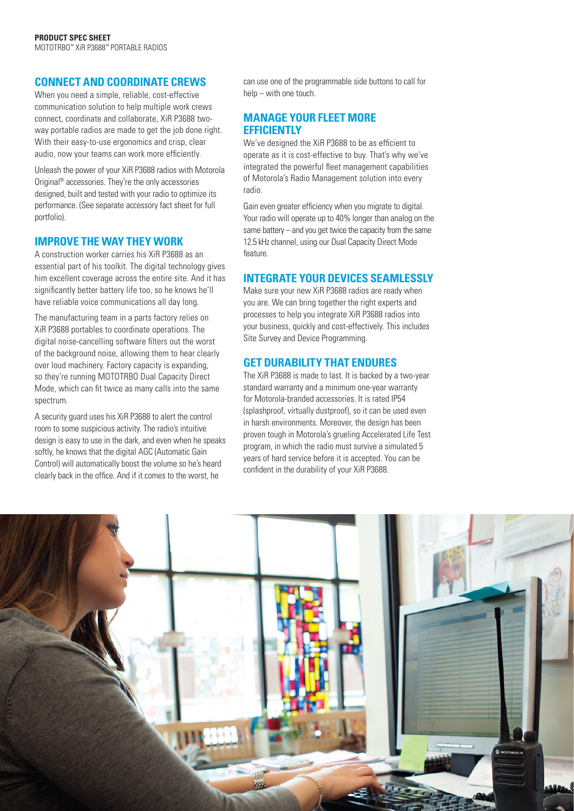## **CONNECT AND COORDINATE CREWS**

When you need a simple, reliable, cost-effective communication solution to help multiple work crews connect, coordinate and collaborate, XiR P3688 twoway portable radios are made to get the job done right. With their easy-to-use ergonomics and crisp, clear audio, now your teams can work more efficiently.

Unleash the power of your XiR P3688 radios with Motorola Original ® accessories. They're the only accessories designed, built and tested with your radio to optimize its performance. (See separate accessory fact sheet for full portfolio).

#### **IMPROVE THE WAY THEY WORK**

A construction worker carries his XiR P3688 as an essential part of his toolkit. The digital technology gives him excellent coverage across the entire site. And it has significantly better battery life too, so he knows he'll have reliable voice communications all day long.

The manufacturing team in a parts factory relies on XiR P3688 portables to coordinate operations. The digital noise-cancelling software filters out the worst of the background noise, allowing them to hear clearly over loud machinery. Factory capacity is expanding, so they're running MOTOTRBO Dual Capacity Direct Mode, which can fit twice as many calls into the same spectrum.

A security guard uses his XiR P3688 to alert the control room to some suspicious activity. The radio's intuitive design is easy to use in the dark, and even when he speaks softly, he knows that the digital AGC (Automatic Gain Control) will automatically boost the volume so he's heard clearly back in the office. And if it comes to the worst, he

can use one of the programmable side buttons to call for help – with one touch.

#### **MANAGE YOUR FLEET MORE EFFICIENTLY**

We've designed the XiR P3688 to be as efficient to operate as it is cost-effective to buy. That's why we've integrated the powerful fleet management capabilities of Motorola's Radio Management solution into every radio.

Gain even greater efficiency when you migrate to digital. Your radio will operate up to 40% longer than analog on the same battery – and you get twice the capacity from the same 12.5 kHz channel, using our Dual Capacity Direct Mode feature.

## **INTEGRATE YOUR DEVICES SEAMLESSLY**

Make sure your new XiR P3688 radios are ready when you are. We can bring together the right experts and processes to help you integrate XiR P3688 radios into your business, quickly and cost-effectively. This includes Site Survey and Device Programming.

## **GET DURABILITY THAT ENDURES**

The XiR P3688 is made to last. It is backed by a two-year standard warranty and a minimum one-year warranty for Motorola-branded accessories. It is rated IP54 (splashproof, virtually dustproof), so it can be used even in harsh environments. Moreover, the design has been proven tough in Motorola's grueling Accelerated Life Test program, in which the radio must survive a simulated 5 years of hard service before it is accepted. You can be confident in the durability of your XiR P3688.

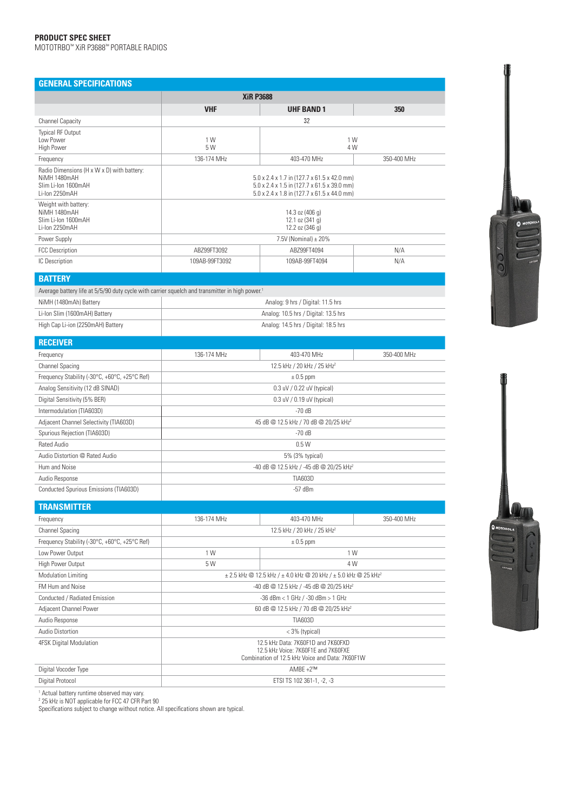#### **PRODUCT SPEC SHEET**

MOTOTRBO™ XiR P3688™ PORTABLE RADIOS

| <b>GENERAL SPECIFICATIONS</b>                                                                       |                                                                                                                                           |                |             |  |  |
|-----------------------------------------------------------------------------------------------------|-------------------------------------------------------------------------------------------------------------------------------------------|----------------|-------------|--|--|
|                                                                                                     | <b>XiR P3688</b>                                                                                                                          |                |             |  |  |
|                                                                                                     | <b>VHF</b><br><b>UHF BAND 1</b><br>350                                                                                                    |                |             |  |  |
| <b>Channel Capacity</b>                                                                             |                                                                                                                                           | 32             |             |  |  |
| <b>Typical RF Output</b><br><b>Low Power</b><br><b>High Power</b>                                   | 1 W<br>1 W<br>5 W<br>4 W                                                                                                                  |                |             |  |  |
| Frequency                                                                                           | 136-174 MHz                                                                                                                               | 403-470 MHz    | 350-400 MHz |  |  |
| Radio Dimensions (H x W x D) with battery:<br>NiMH 1480mAH<br>Slim Li-Ion 1600mAH<br>Li-Ion 2250mAH | 5.0 x 2.4 x 1.7 in (127.7 x 61.5 x 42.0 mm)<br>5.0 x 2.4 x 1.5 in (127.7 x 61.5 x 39.0 mm)<br>5.0 x 2.4 x 1.8 in (127.7 x 61.5 x 44.0 mm) |                |             |  |  |
| Weight with battery:<br>NiMH 1480mAH<br>Slim Li-Ion 1600mAH<br>Li-Ion 2250mAH                       | 14.3 oz (406 g)<br>12.1 oz $(341 g)$<br>12.2 oz (346 g)                                                                                   |                |             |  |  |
| Power Supply                                                                                        | 7.5V (Nominal) $\pm$ 20%                                                                                                                  |                |             |  |  |
| <b>FCC Description</b>                                                                              | ABZ99FT3092                                                                                                                               | ABZ99FT4094    | N/A         |  |  |
| IC Description                                                                                      | 109AB-99FT3092                                                                                                                            | 109AB-99FT4094 | N/A         |  |  |

#### **BATTERY**

Average battery life at 5/5/90 duty cycle with carrier squelch and transmitter in high power. 1

| NiMH (1480mAh) Battery            | Analog: 9 hrs / Digital: 11.5 hrs    |
|-----------------------------------|--------------------------------------|
| Li-Ion Slim (1600mAH) Battery     | Analog: 10.5 hrs / Digital: 13.5 hrs |
| High Cap Li-ion (2250mAH) Battery | Analog: 14.5 hrs / Digital: 18.5 hrs |

| <b>RECEIVER</b>                               |                                                     |                 |             |  |  |  |
|-----------------------------------------------|-----------------------------------------------------|-----------------|-------------|--|--|--|
| Frequency                                     | 136-174 MHz                                         | 403-470 MHz     | 350-400 MHz |  |  |  |
| <b>Channel Spacing</b>                        | 12.5 kHz / 20 kHz / 25 kHz <sup>2</sup>             |                 |             |  |  |  |
| Frequency Stability (-30°C, +60°C, +25°C Ref) | $\pm$ 0.5 ppm                                       |                 |             |  |  |  |
| Analog Sensitivity (12 dB SINAD)              | 0.3 uV / 0.22 uV (typical)                          |                 |             |  |  |  |
| Digital Sensitivity (5% BER)                  | 0.3 uV / 0.19 uV (typical)                          |                 |             |  |  |  |
| Intermodulation (TIA603D)                     | $-70$ dB                                            |                 |             |  |  |  |
| Adjacent Channel Selectivity (TIA603D)        | 45 dB @ 12.5 kHz / 70 dB @ 20/25 kHz <sup>2</sup>   |                 |             |  |  |  |
| Spurious Rejection (TIA603D)                  | -70 dB                                              |                 |             |  |  |  |
| Rated Audio                                   | 0.5W                                                |                 |             |  |  |  |
| Audio Distortion @ Rated Audio                |                                                     | 5% (3% typical) |             |  |  |  |
| Hum and Noise                                 | -40 dB @ 12.5 kHz / -45 dB @ 20/25 kHz <sup>2</sup> |                 |             |  |  |  |
| Audio Response                                | TIA603D                                             |                 |             |  |  |  |
| Conducted Spurious Emissions (TIA603D)        | -57 dBm                                             |                 |             |  |  |  |

| <b>TRANSMITTER</b>                            |                                                                                                                              |             |             |  |  |  |
|-----------------------------------------------|------------------------------------------------------------------------------------------------------------------------------|-------------|-------------|--|--|--|
| Frequency                                     | 136-174 MHz                                                                                                                  | 403-470 MHz | 350-400 MHz |  |  |  |
| Channel Spacing                               | 12.5 kHz / 20 kHz / 25 kHz <sup>2</sup>                                                                                      |             |             |  |  |  |
| Frequency Stability (-30°C, +60°C, +25°C Ref) | $\pm$ 0.5 ppm                                                                                                                |             |             |  |  |  |
| Low Power Output                              | 1 W<br>1 W                                                                                                                   |             |             |  |  |  |
| High Power Output                             | 5 W<br>4 W                                                                                                                   |             |             |  |  |  |
| Modulation Limiting                           | $\pm$ 2.5 kHz @ 12.5 kHz / $\pm$ 4.0 kHz @ 20 kHz / $\pm$ 5.0 kHz @ 25 kHz <sup>2</sup>                                      |             |             |  |  |  |
| FM Hum and Noise                              | -40 dB @ 12.5 kHz / -45 dB @ 20/25 kHz <sup>2</sup>                                                                          |             |             |  |  |  |
| Conducted / Radiated Emission                 | $-36$ dBm $< 1$ GHz / $-30$ dBm $> 1$ GHz                                                                                    |             |             |  |  |  |
| Adjacent Channel Power                        | 60 dB @ 12.5 kHz / 70 dB @ 20/25 kHz <sup>2</sup>                                                                            |             |             |  |  |  |
| Audio Response                                | TIA603D                                                                                                                      |             |             |  |  |  |
| Audio Distortion                              | < 3% (typical)                                                                                                               |             |             |  |  |  |
| 4FSK Digital Modulation                       | 12.5 kHz Data: 7K60F1D and 7K60FXD<br>12.5 kHz Voice: 7K60F1F and 7K60FXF<br>Combination of 12.5 kHz Voice and Data: 7K60F1W |             |             |  |  |  |
| Digital Vocoder Type                          | AMBE $+2^{\text{TM}}$                                                                                                        |             |             |  |  |  |
| Digital Protocol                              | ETSI TS 102 361-1, -2, -3                                                                                                    |             |             |  |  |  |

<sup>1</sup> Actual battery runtime observed may vary.<br><sup>2</sup> 25 kHz is NOT applicable for FCC 47 CFR Part 90

Specifications subject to change without notice. All specifications shown are typical.